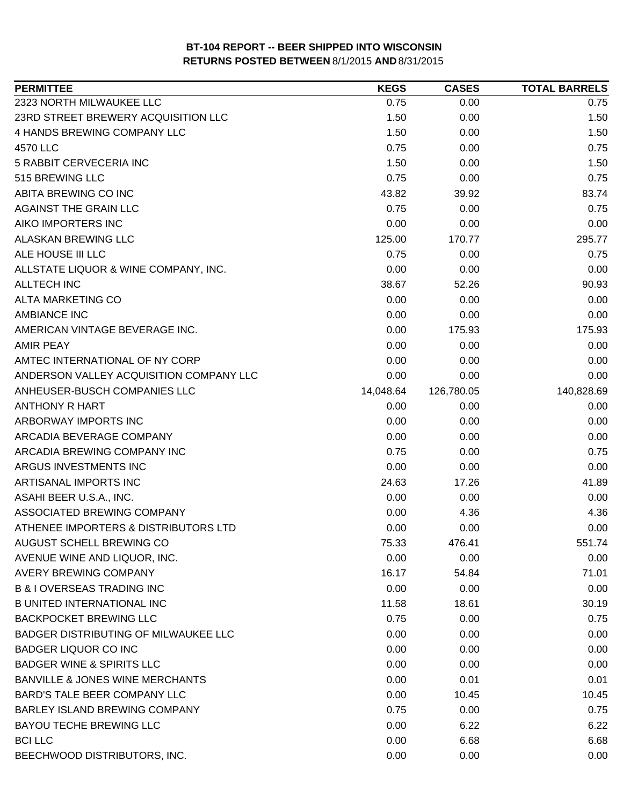| <b>PERMITTEE</b>                            | <b>KEGS</b> | <b>CASES</b> | <b>TOTAL BARRELS</b> |
|---------------------------------------------|-------------|--------------|----------------------|
| 2323 NORTH MILWAUKEE LLC                    | 0.75        | 0.00         | 0.75                 |
| 23RD STREET BREWERY ACQUISITION LLC         | 1.50        | 0.00         | 1.50                 |
| 4 HANDS BREWING COMPANY LLC                 | 1.50        | 0.00         | 1.50                 |
| 4570 LLC                                    | 0.75        | 0.00         | 0.75                 |
| 5 RABBIT CERVECERIA INC                     | 1.50        | 0.00         | 1.50                 |
| 515 BREWING LLC                             | 0.75        | 0.00         | 0.75                 |
| ABITA BREWING CO INC                        | 43.82       | 39.92        | 83.74                |
| AGAINST THE GRAIN LLC                       | 0.75        | 0.00         | 0.75                 |
| AIKO IMPORTERS INC                          | 0.00        | 0.00         | 0.00                 |
| ALASKAN BREWING LLC                         | 125.00      | 170.77       | 295.77               |
| ALE HOUSE III LLC                           | 0.75        | 0.00         | 0.75                 |
| ALLSTATE LIQUOR & WINE COMPANY, INC.        | 0.00        | 0.00         | 0.00                 |
| <b>ALLTECH INC</b>                          | 38.67       | 52.26        | 90.93                |
| <b>ALTA MARKETING CO</b>                    | 0.00        | 0.00         | 0.00                 |
| <b>AMBIANCE INC</b>                         | 0.00        | 0.00         | 0.00                 |
| AMERICAN VINTAGE BEVERAGE INC.              | 0.00        | 175.93       | 175.93               |
| AMIR PEAY                                   | 0.00        | 0.00         | 0.00                 |
| AMTEC INTERNATIONAL OF NY CORP              | 0.00        | 0.00         | 0.00                 |
| ANDERSON VALLEY ACQUISITION COMPANY LLC     | 0.00        | 0.00         | 0.00                 |
| ANHEUSER-BUSCH COMPANIES LLC                | 14,048.64   | 126,780.05   | 140,828.69           |
| <b>ANTHONY R HART</b>                       | 0.00        | 0.00         | 0.00                 |
| ARBORWAY IMPORTS INC                        | 0.00        | 0.00         | 0.00                 |
| ARCADIA BEVERAGE COMPANY                    | 0.00        | 0.00         | 0.00                 |
| ARCADIA BREWING COMPANY INC                 | 0.75        | 0.00         | 0.75                 |
| ARGUS INVESTMENTS INC                       | 0.00        | 0.00         | 0.00                 |
| ARTISANAL IMPORTS INC                       | 24.63       | 17.26        | 41.89                |
| ASAHI BEER U.S.A., INC.                     | 0.00        | 0.00         | 0.00                 |
| ASSOCIATED BREWING COMPANY                  | 0.00        | 4.36         | 4.36                 |
| ATHENEE IMPORTERS & DISTRIBUTORS LTD        | 0.00        | 0.00         | 0.00                 |
| AUGUST SCHELL BREWING CO                    | 75.33       | 476.41       | 551.74               |
| AVENUE WINE AND LIQUOR, INC.                | 0.00        | 0.00         | 0.00                 |
| AVERY BREWING COMPANY                       | 16.17       | 54.84        | 71.01                |
| <b>B &amp; I OVERSEAS TRADING INC</b>       | 0.00        | 0.00         | 0.00                 |
| <b>B UNITED INTERNATIONAL INC</b>           | 11.58       | 18.61        | 30.19                |
| <b>BACKPOCKET BREWING LLC</b>               | 0.75        | 0.00         | 0.75                 |
| <b>BADGER DISTRIBUTING OF MILWAUKEE LLC</b> | 0.00        | 0.00         | 0.00                 |
| <b>BADGER LIQUOR CO INC</b>                 | 0.00        | 0.00         | 0.00                 |
| <b>BADGER WINE &amp; SPIRITS LLC</b>        | 0.00        | 0.00         | 0.00                 |
| <b>BANVILLE &amp; JONES WINE MERCHANTS</b>  | 0.00        | 0.01         | 0.01                 |
| BARD'S TALE BEER COMPANY LLC                | 0.00        | 10.45        | 10.45                |
| BARLEY ISLAND BREWING COMPANY               | 0.75        | 0.00         | 0.75                 |
| <b>BAYOU TECHE BREWING LLC</b>              | 0.00        | 6.22         | 6.22                 |
| <b>BCI LLC</b>                              | 0.00        | 6.68         | 6.68                 |
| BEECHWOOD DISTRIBUTORS, INC.                | 0.00        | 0.00         | 0.00                 |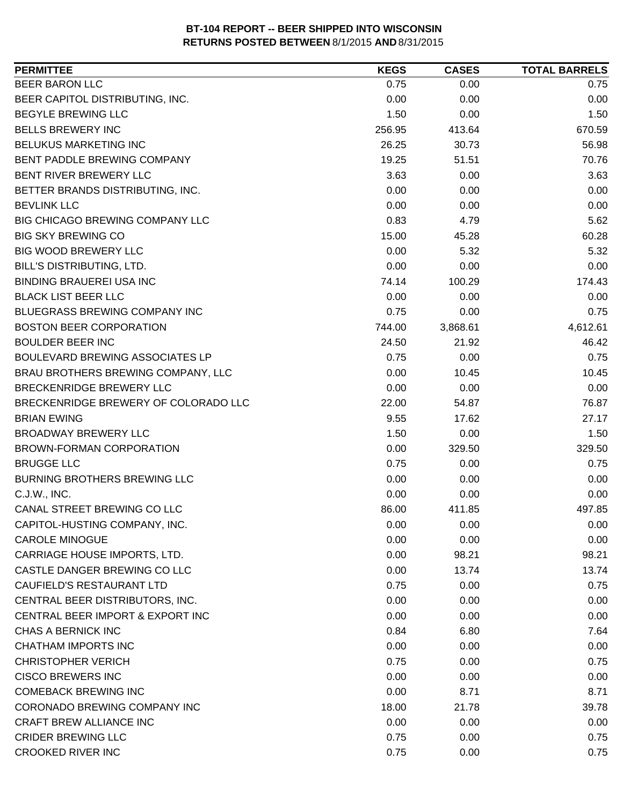| <b>PERMITTEE</b>                     | <b>KEGS</b> | <b>CASES</b> | <b>TOTAL BARRELS</b> |
|--------------------------------------|-------------|--------------|----------------------|
| <b>BEER BARON LLC</b>                | 0.75        | 0.00         | 0.75                 |
| BEER CAPITOL DISTRIBUTING, INC.      | 0.00        | 0.00         | 0.00                 |
| <b>BEGYLE BREWING LLC</b>            | 1.50        | 0.00         | 1.50                 |
| <b>BELLS BREWERY INC</b>             | 256.95      | 413.64       | 670.59               |
| BELUKUS MARKETING INC                | 26.25       | 30.73        | 56.98                |
| BENT PADDLE BREWING COMPANY          | 19.25       | 51.51        | 70.76                |
| BENT RIVER BREWERY LLC               | 3.63        | 0.00         | 3.63                 |
| BETTER BRANDS DISTRIBUTING, INC.     | 0.00        | 0.00         | 0.00                 |
| <b>BEVLINK LLC</b>                   | 0.00        | 0.00         | 0.00                 |
| BIG CHICAGO BREWING COMPANY LLC      | 0.83        | 4.79         | 5.62                 |
| <b>BIG SKY BREWING CO</b>            | 15.00       | 45.28        | 60.28                |
| <b>BIG WOOD BREWERY LLC</b>          | 0.00        | 5.32         | 5.32                 |
| BILL'S DISTRIBUTING, LTD.            | 0.00        | 0.00         | 0.00                 |
| <b>BINDING BRAUEREI USA INC</b>      | 74.14       | 100.29       | 174.43               |
| <b>BLACK LIST BEER LLC</b>           | 0.00        | 0.00         | 0.00                 |
| BLUEGRASS BREWING COMPANY INC        | 0.75        | 0.00         | 0.75                 |
| <b>BOSTON BEER CORPORATION</b>       | 744.00      | 3,868.61     | 4,612.61             |
| <b>BOULDER BEER INC</b>              | 24.50       | 21.92        | 46.42                |
| BOULEVARD BREWING ASSOCIATES LP      | 0.75        | 0.00         | 0.75                 |
| BRAU BROTHERS BREWING COMPANY, LLC   | 0.00        | 10.45        | 10.45                |
| BRECKENRIDGE BREWERY LLC             | 0.00        | 0.00         | 0.00                 |
| BRECKENRIDGE BREWERY OF COLORADO LLC | 22.00       | 54.87        | 76.87                |
| <b>BRIAN EWING</b>                   | 9.55        | 17.62        | 27.17                |
| <b>BROADWAY BREWERY LLC</b>          | 1.50        | 0.00         | 1.50                 |
| BROWN-FORMAN CORPORATION             | 0.00        | 329.50       | 329.50               |
| <b>BRUGGE LLC</b>                    | 0.75        | 0.00         | 0.75                 |
| <b>BURNING BROTHERS BREWING LLC</b>  | 0.00        | 0.00         | 0.00                 |
| C.J.W., INC.                         | 0.00        | 0.00         | 0.00                 |
| CANAL STREET BREWING CO LLC          | 86.00       | 411.85       | 497.85               |
| CAPITOL-HUSTING COMPANY, INC.        | 0.00        | 0.00         | 0.00                 |
| <b>CAROLE MINOGUE</b>                | 0.00        | 0.00         | 0.00                 |
| CARRIAGE HOUSE IMPORTS, LTD.         | 0.00        | 98.21        | 98.21                |
| CASTLE DANGER BREWING CO LLC         | 0.00        | 13.74        | 13.74                |
| CAUFIELD'S RESTAURANT LTD            | 0.75        | 0.00         | 0.75                 |
| CENTRAL BEER DISTRIBUTORS, INC.      | 0.00        | 0.00         | 0.00                 |
| CENTRAL BEER IMPORT & EXPORT INC     | 0.00        | 0.00         | 0.00                 |
| CHAS A BERNICK INC                   | 0.84        | 6.80         | 7.64                 |
| CHATHAM IMPORTS INC                  | 0.00        | 0.00         | 0.00                 |
| <b>CHRISTOPHER VERICH</b>            | 0.75        | 0.00         | 0.75                 |
| <b>CISCO BREWERS INC</b>             | 0.00        | 0.00         | 0.00                 |
| <b>COMEBACK BREWING INC</b>          | 0.00        | 8.71         | 8.71                 |
| CORONADO BREWING COMPANY INC         | 18.00       | 21.78        | 39.78                |
| <b>CRAFT BREW ALLIANCE INC</b>       | 0.00        | 0.00         | 0.00                 |
| <b>CRIDER BREWING LLC</b>            | 0.75        | 0.00         | 0.75                 |
| <b>CROOKED RIVER INC</b>             | 0.75        | 0.00         | 0.75                 |
|                                      |             |              |                      |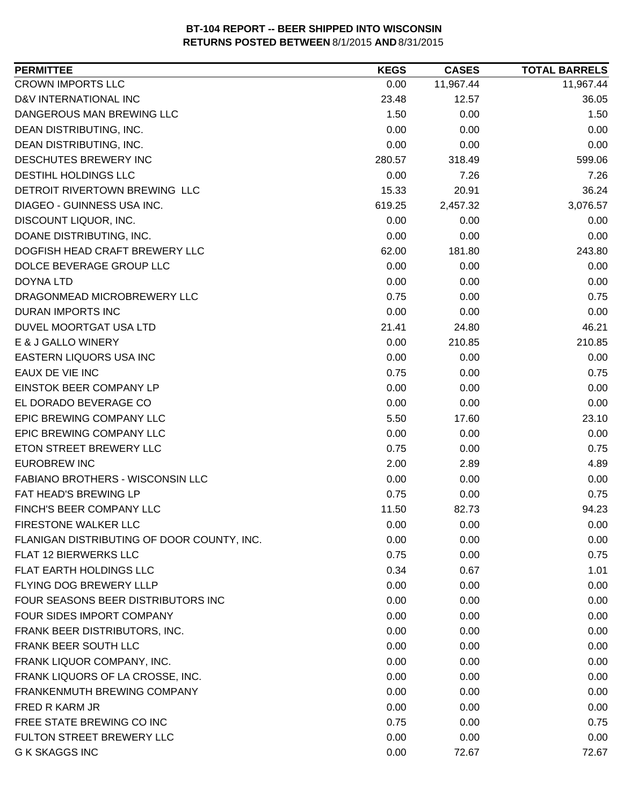| 11,967.44<br>11,967.44<br>0.00<br>36.05<br>23.48<br>12.57<br>1.50<br>0.00<br>1.50<br>0.00<br>0.00<br>0.00<br>0.00<br>0.00<br>0.00<br>599.06<br>280.57<br>318.49<br>0.00<br>7.26<br>7.26<br>20.91<br>36.24<br>15.33<br>2,457.32<br>3,076.57<br>619.25<br>0.00<br>0.00<br>0.00<br>0.00<br>0.00<br>0.00<br>181.80<br>243.80<br>62.00<br>0.00<br>0.00<br>0.00<br>0.00<br>0.00<br>0.00<br>0.75<br>0.75<br>0.00<br>0.00<br>0.00<br>0.00<br>46.21<br>21.41<br>24.80<br>210.85<br>0.00<br>210.85<br>0.00<br>0.00<br>0.00<br>0.75<br>0.75<br>0.00<br>0.00<br>0.00<br>0.00<br>0.00<br>0.00<br>0.00<br>23.10<br>5.50<br>17.60<br>0.00<br>0.00<br>0.00<br>0.75<br>0.75<br>0.00<br>2.00<br>2.89<br>4.89<br>0.00<br>0.00<br>0.00<br>0.75<br>0.75<br>0.00<br>11.50<br>94.23<br>82.73<br>0.00<br>0.00<br>0.00<br>0.00<br>0.00<br>0.00<br>0.75<br>0.00<br>0.75<br>0.34<br>0.67<br>1.01<br>0.00<br>0.00<br>0.00<br>0.00<br>0.00<br>0.00<br>0.00<br>0.00<br>0.00<br>0.00<br>0.00<br>0.00<br>0.00<br>0.00<br>0.00<br>0.00<br>0.00<br>0.00<br>0.00<br>0.00<br>0.00<br>0.00<br>0.00<br>0.00<br>0.00<br>0.00<br>0.00<br>0.75<br>0.75<br>0.00<br>0.00<br>0.00<br>0.00<br>0.00<br>72.67<br>72.67 | <b>PERMITTEE</b>                           | <b>KEGS</b> | <b>CASES</b> | <b>TOTAL BARRELS</b> |
|-------------------------------------------------------------------------------------------------------------------------------------------------------------------------------------------------------------------------------------------------------------------------------------------------------------------------------------------------------------------------------------------------------------------------------------------------------------------------------------------------------------------------------------------------------------------------------------------------------------------------------------------------------------------------------------------------------------------------------------------------------------------------------------------------------------------------------------------------------------------------------------------------------------------------------------------------------------------------------------------------------------------------------------------------------------------------------------------------------------------------------------------------------------------------|--------------------------------------------|-------------|--------------|----------------------|
|                                                                                                                                                                                                                                                                                                                                                                                                                                                                                                                                                                                                                                                                                                                                                                                                                                                                                                                                                                                                                                                                                                                                                                         | <b>CROWN IMPORTS LLC</b>                   |             |              |                      |
|                                                                                                                                                                                                                                                                                                                                                                                                                                                                                                                                                                                                                                                                                                                                                                                                                                                                                                                                                                                                                                                                                                                                                                         | D&V INTERNATIONAL INC                      |             |              |                      |
|                                                                                                                                                                                                                                                                                                                                                                                                                                                                                                                                                                                                                                                                                                                                                                                                                                                                                                                                                                                                                                                                                                                                                                         | DANGEROUS MAN BREWING LLC                  |             |              |                      |
|                                                                                                                                                                                                                                                                                                                                                                                                                                                                                                                                                                                                                                                                                                                                                                                                                                                                                                                                                                                                                                                                                                                                                                         | DEAN DISTRIBUTING, INC.                    |             |              |                      |
|                                                                                                                                                                                                                                                                                                                                                                                                                                                                                                                                                                                                                                                                                                                                                                                                                                                                                                                                                                                                                                                                                                                                                                         | DEAN DISTRIBUTING, INC.                    |             |              |                      |
|                                                                                                                                                                                                                                                                                                                                                                                                                                                                                                                                                                                                                                                                                                                                                                                                                                                                                                                                                                                                                                                                                                                                                                         | DESCHUTES BREWERY INC                      |             |              |                      |
|                                                                                                                                                                                                                                                                                                                                                                                                                                                                                                                                                                                                                                                                                                                                                                                                                                                                                                                                                                                                                                                                                                                                                                         | DESTIHL HOLDINGS LLC                       |             |              |                      |
|                                                                                                                                                                                                                                                                                                                                                                                                                                                                                                                                                                                                                                                                                                                                                                                                                                                                                                                                                                                                                                                                                                                                                                         | DETROIT RIVERTOWN BREWING LLC              |             |              |                      |
|                                                                                                                                                                                                                                                                                                                                                                                                                                                                                                                                                                                                                                                                                                                                                                                                                                                                                                                                                                                                                                                                                                                                                                         | DIAGEO - GUINNESS USA INC.                 |             |              |                      |
|                                                                                                                                                                                                                                                                                                                                                                                                                                                                                                                                                                                                                                                                                                                                                                                                                                                                                                                                                                                                                                                                                                                                                                         | DISCOUNT LIQUOR, INC.                      |             |              |                      |
|                                                                                                                                                                                                                                                                                                                                                                                                                                                                                                                                                                                                                                                                                                                                                                                                                                                                                                                                                                                                                                                                                                                                                                         | DOANE DISTRIBUTING, INC.                   |             |              |                      |
|                                                                                                                                                                                                                                                                                                                                                                                                                                                                                                                                                                                                                                                                                                                                                                                                                                                                                                                                                                                                                                                                                                                                                                         | DOGFISH HEAD CRAFT BREWERY LLC             |             |              |                      |
|                                                                                                                                                                                                                                                                                                                                                                                                                                                                                                                                                                                                                                                                                                                                                                                                                                                                                                                                                                                                                                                                                                                                                                         | DOLCE BEVERAGE GROUP LLC                   |             |              |                      |
|                                                                                                                                                                                                                                                                                                                                                                                                                                                                                                                                                                                                                                                                                                                                                                                                                                                                                                                                                                                                                                                                                                                                                                         | <b>DOYNA LTD</b>                           |             |              |                      |
|                                                                                                                                                                                                                                                                                                                                                                                                                                                                                                                                                                                                                                                                                                                                                                                                                                                                                                                                                                                                                                                                                                                                                                         | DRAGONMEAD MICROBREWERY LLC                |             |              |                      |
|                                                                                                                                                                                                                                                                                                                                                                                                                                                                                                                                                                                                                                                                                                                                                                                                                                                                                                                                                                                                                                                                                                                                                                         | <b>DURAN IMPORTS INC</b>                   |             |              |                      |
|                                                                                                                                                                                                                                                                                                                                                                                                                                                                                                                                                                                                                                                                                                                                                                                                                                                                                                                                                                                                                                                                                                                                                                         | DUVEL MOORTGAT USA LTD                     |             |              |                      |
|                                                                                                                                                                                                                                                                                                                                                                                                                                                                                                                                                                                                                                                                                                                                                                                                                                                                                                                                                                                                                                                                                                                                                                         | E & J GALLO WINERY                         |             |              |                      |
|                                                                                                                                                                                                                                                                                                                                                                                                                                                                                                                                                                                                                                                                                                                                                                                                                                                                                                                                                                                                                                                                                                                                                                         | EASTERN LIQUORS USA INC                    |             |              |                      |
|                                                                                                                                                                                                                                                                                                                                                                                                                                                                                                                                                                                                                                                                                                                                                                                                                                                                                                                                                                                                                                                                                                                                                                         | EAUX DE VIE INC                            |             |              |                      |
|                                                                                                                                                                                                                                                                                                                                                                                                                                                                                                                                                                                                                                                                                                                                                                                                                                                                                                                                                                                                                                                                                                                                                                         | EINSTOK BEER COMPANY LP                    |             |              |                      |
|                                                                                                                                                                                                                                                                                                                                                                                                                                                                                                                                                                                                                                                                                                                                                                                                                                                                                                                                                                                                                                                                                                                                                                         | EL DORADO BEVERAGE CO                      |             |              |                      |
|                                                                                                                                                                                                                                                                                                                                                                                                                                                                                                                                                                                                                                                                                                                                                                                                                                                                                                                                                                                                                                                                                                                                                                         | EPIC BREWING COMPANY LLC                   |             |              |                      |
|                                                                                                                                                                                                                                                                                                                                                                                                                                                                                                                                                                                                                                                                                                                                                                                                                                                                                                                                                                                                                                                                                                                                                                         | EPIC BREWING COMPANY LLC                   |             |              |                      |
|                                                                                                                                                                                                                                                                                                                                                                                                                                                                                                                                                                                                                                                                                                                                                                                                                                                                                                                                                                                                                                                                                                                                                                         | ETON STREET BREWERY LLC                    |             |              |                      |
|                                                                                                                                                                                                                                                                                                                                                                                                                                                                                                                                                                                                                                                                                                                                                                                                                                                                                                                                                                                                                                                                                                                                                                         | <b>EUROBREW INC</b>                        |             |              |                      |
|                                                                                                                                                                                                                                                                                                                                                                                                                                                                                                                                                                                                                                                                                                                                                                                                                                                                                                                                                                                                                                                                                                                                                                         | <b>FABIANO BROTHERS - WISCONSIN LLC</b>    |             |              |                      |
|                                                                                                                                                                                                                                                                                                                                                                                                                                                                                                                                                                                                                                                                                                                                                                                                                                                                                                                                                                                                                                                                                                                                                                         | FAT HEAD'S BREWING LP                      |             |              |                      |
|                                                                                                                                                                                                                                                                                                                                                                                                                                                                                                                                                                                                                                                                                                                                                                                                                                                                                                                                                                                                                                                                                                                                                                         | FINCH'S BEER COMPANY LLC                   |             |              |                      |
|                                                                                                                                                                                                                                                                                                                                                                                                                                                                                                                                                                                                                                                                                                                                                                                                                                                                                                                                                                                                                                                                                                                                                                         | FIRESTONE WALKER LLC                       |             |              |                      |
|                                                                                                                                                                                                                                                                                                                                                                                                                                                                                                                                                                                                                                                                                                                                                                                                                                                                                                                                                                                                                                                                                                                                                                         | FLANIGAN DISTRIBUTING OF DOOR COUNTY, INC. |             |              |                      |
|                                                                                                                                                                                                                                                                                                                                                                                                                                                                                                                                                                                                                                                                                                                                                                                                                                                                                                                                                                                                                                                                                                                                                                         | FLAT 12 BIERWERKS LLC                      |             |              |                      |
|                                                                                                                                                                                                                                                                                                                                                                                                                                                                                                                                                                                                                                                                                                                                                                                                                                                                                                                                                                                                                                                                                                                                                                         | FLAT EARTH HOLDINGS LLC                    |             |              |                      |
|                                                                                                                                                                                                                                                                                                                                                                                                                                                                                                                                                                                                                                                                                                                                                                                                                                                                                                                                                                                                                                                                                                                                                                         | FLYING DOG BREWERY LLLP                    |             |              |                      |
|                                                                                                                                                                                                                                                                                                                                                                                                                                                                                                                                                                                                                                                                                                                                                                                                                                                                                                                                                                                                                                                                                                                                                                         | FOUR SEASONS BEER DISTRIBUTORS INC         |             |              |                      |
|                                                                                                                                                                                                                                                                                                                                                                                                                                                                                                                                                                                                                                                                                                                                                                                                                                                                                                                                                                                                                                                                                                                                                                         | FOUR SIDES IMPORT COMPANY                  |             |              |                      |
|                                                                                                                                                                                                                                                                                                                                                                                                                                                                                                                                                                                                                                                                                                                                                                                                                                                                                                                                                                                                                                                                                                                                                                         | FRANK BEER DISTRIBUTORS, INC.              |             |              |                      |
|                                                                                                                                                                                                                                                                                                                                                                                                                                                                                                                                                                                                                                                                                                                                                                                                                                                                                                                                                                                                                                                                                                                                                                         | FRANK BEER SOUTH LLC                       |             |              |                      |
|                                                                                                                                                                                                                                                                                                                                                                                                                                                                                                                                                                                                                                                                                                                                                                                                                                                                                                                                                                                                                                                                                                                                                                         | FRANK LIQUOR COMPANY, INC.                 |             |              |                      |
|                                                                                                                                                                                                                                                                                                                                                                                                                                                                                                                                                                                                                                                                                                                                                                                                                                                                                                                                                                                                                                                                                                                                                                         | FRANK LIQUORS OF LA CROSSE, INC.           |             |              |                      |
|                                                                                                                                                                                                                                                                                                                                                                                                                                                                                                                                                                                                                                                                                                                                                                                                                                                                                                                                                                                                                                                                                                                                                                         | FRANKENMUTH BREWING COMPANY                |             |              |                      |
|                                                                                                                                                                                                                                                                                                                                                                                                                                                                                                                                                                                                                                                                                                                                                                                                                                                                                                                                                                                                                                                                                                                                                                         | FRED R KARM JR                             |             |              |                      |
|                                                                                                                                                                                                                                                                                                                                                                                                                                                                                                                                                                                                                                                                                                                                                                                                                                                                                                                                                                                                                                                                                                                                                                         | FREE STATE BREWING CO INC                  |             |              |                      |
|                                                                                                                                                                                                                                                                                                                                                                                                                                                                                                                                                                                                                                                                                                                                                                                                                                                                                                                                                                                                                                                                                                                                                                         | FULTON STREET BREWERY LLC                  |             |              |                      |
|                                                                                                                                                                                                                                                                                                                                                                                                                                                                                                                                                                                                                                                                                                                                                                                                                                                                                                                                                                                                                                                                                                                                                                         | <b>G K SKAGGS INC</b>                      |             |              |                      |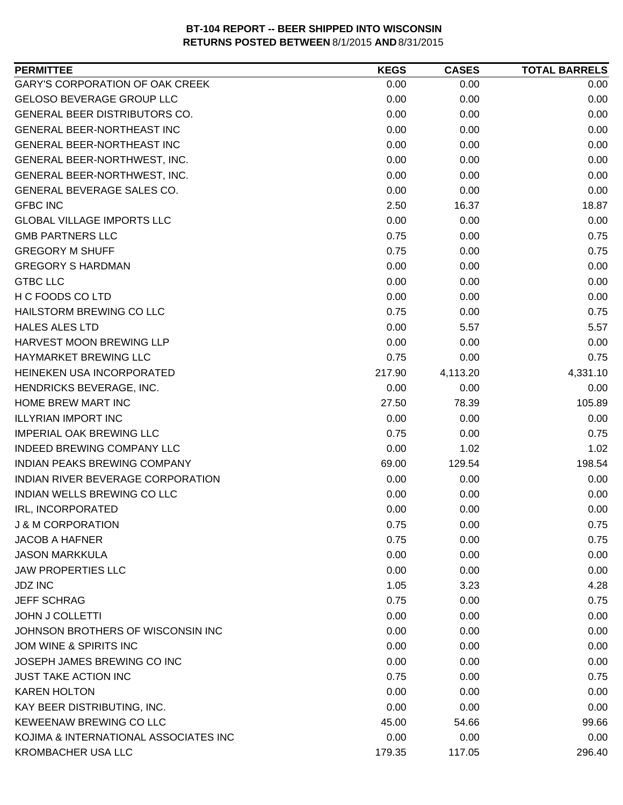| <b>PERMITTEE</b>                       | <b>KEGS</b> | <b>CASES</b> | <b>TOTAL BARRELS</b> |
|----------------------------------------|-------------|--------------|----------------------|
| <b>GARY'S CORPORATION OF OAK CREEK</b> | 0.00        | 0.00         | 0.00                 |
| <b>GELOSO BEVERAGE GROUP LLC</b>       | 0.00        | 0.00         | 0.00                 |
| GENERAL BEER DISTRIBUTORS CO.          | 0.00        | 0.00         | 0.00                 |
| <b>GENERAL BEER-NORTHEAST INC</b>      | 0.00        | 0.00         | 0.00                 |
| GENERAL BEER-NORTHEAST INC             | 0.00        | 0.00         | 0.00                 |
| GENERAL BEER-NORTHWEST, INC.           | 0.00        | 0.00         | 0.00                 |
| GENERAL BEER-NORTHWEST, INC.           | 0.00        | 0.00         | 0.00                 |
| GENERAL BEVERAGE SALES CO.             | 0.00        | 0.00         | 0.00                 |
| <b>GFBC INC</b>                        | 2.50        | 16.37        | 18.87                |
| <b>GLOBAL VILLAGE IMPORTS LLC</b>      | 0.00        | 0.00         | 0.00                 |
| <b>GMB PARTNERS LLC</b>                | 0.75        | 0.00         | 0.75                 |
| <b>GREGORY M SHUFF</b>                 | 0.75        | 0.00         | 0.75                 |
| <b>GREGORY S HARDMAN</b>               | 0.00        | 0.00         | 0.00                 |
| <b>GTBC LLC</b>                        | 0.00        | 0.00         | 0.00                 |
| H C FOODS CO LTD                       | 0.00        | 0.00         | 0.00                 |
| HAILSTORM BREWING CO LLC               | 0.75        | 0.00         | 0.75                 |
| <b>HALES ALES LTD</b>                  | 0.00        | 5.57         | 5.57                 |
| HARVEST MOON BREWING LLP               | 0.00        | 0.00         | 0.00                 |
| HAYMARKET BREWING LLC                  | 0.75        | 0.00         | 0.75                 |
| HEINEKEN USA INCORPORATED              | 217.90      | 4,113.20     | 4,331.10             |
| HENDRICKS BEVERAGE, INC.               | 0.00        | 0.00         | 0.00                 |
| HOME BREW MART INC                     | 27.50       | 78.39        | 105.89               |
| <b>ILLYRIAN IMPORT INC</b>             | 0.00        | 0.00         | 0.00                 |
| <b>IMPERIAL OAK BREWING LLC</b>        | 0.75        | 0.00         | 0.75                 |
| INDEED BREWING COMPANY LLC             | 0.00        | 1.02         | 1.02                 |
| INDIAN PEAKS BREWING COMPANY           | 69.00       | 129.54       | 198.54               |
| INDIAN RIVER BEVERAGE CORPORATION      | 0.00        | 0.00         | 0.00                 |
| <b>INDIAN WELLS BREWING CO LLC</b>     | 0.00        | 0.00         | 0.00                 |
| IRL, INCORPORATED                      | 0.00        | 0.00         | 0.00                 |
| <b>J &amp; M CORPORATION</b>           | 0.75        | 0.00         | 0.75                 |
| <b>JACOB A HAFNER</b>                  | 0.75        | 0.00         | 0.75                 |
| <b>JASON MARKKULA</b>                  | 0.00        | 0.00         | 0.00                 |
| <b>JAW PROPERTIES LLC</b>              | 0.00        | 0.00         | 0.00                 |
| <b>JDZ INC</b>                         | 1.05        | 3.23         | 4.28                 |
| <b>JEFF SCHRAG</b>                     | 0.75        | 0.00         | 0.75                 |
| <b>JOHN J COLLETTI</b>                 | 0.00        | 0.00         | 0.00                 |
| JOHNSON BROTHERS OF WISCONSIN INC      | 0.00        | 0.00         | 0.00                 |
| JOM WINE & SPIRITS INC                 | 0.00        | 0.00         | 0.00                 |
| JOSEPH JAMES BREWING CO INC            | 0.00        | 0.00         | 0.00                 |
| <b>JUST TAKE ACTION INC</b>            | 0.75        | 0.00         | 0.75                 |
| <b>KAREN HOLTON</b>                    | 0.00        | 0.00         | 0.00                 |
| KAY BEER DISTRIBUTING, INC.            | 0.00        | 0.00         | 0.00                 |
| KEWEENAW BREWING CO LLC                | 45.00       | 54.66        | 99.66                |
| KOJIMA & INTERNATIONAL ASSOCIATES INC  | 0.00        | 0.00         | 0.00                 |
| <b>KROMBACHER USA LLC</b>              | 179.35      | 117.05       | 296.40               |
|                                        |             |              |                      |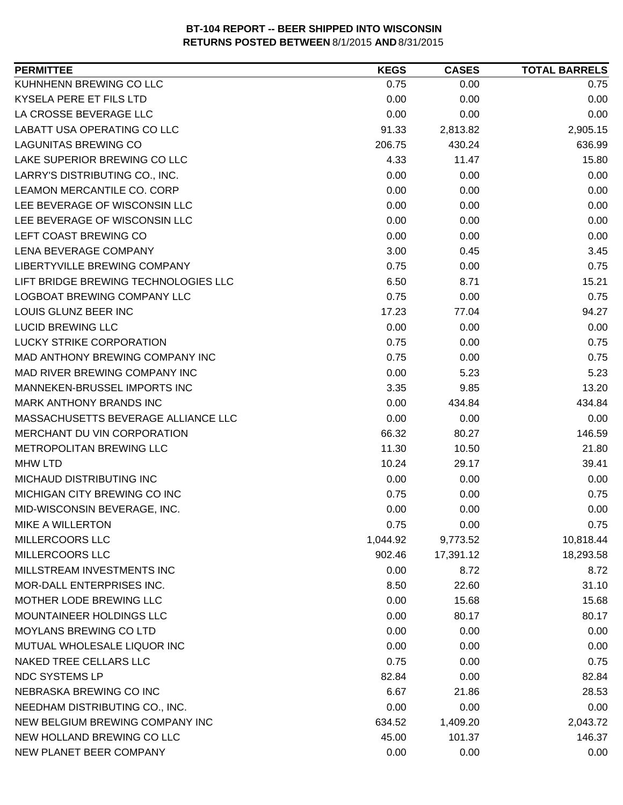| <b>PERMITTEE</b>                     | <b>KEGS</b> | <b>CASES</b> | <b>TOTAL BARRELS</b> |
|--------------------------------------|-------------|--------------|----------------------|
| KUHNHENN BREWING CO LLC              | 0.75        | 0.00         | 0.75                 |
| <b>KYSELA PERE ET FILS LTD</b>       | 0.00        | 0.00         | 0.00                 |
| LA CROSSE BEVERAGE LLC               | 0.00        | 0.00         | 0.00                 |
| LABATT USA OPERATING CO LLC          | 91.33       | 2,813.82     | 2,905.15             |
| <b>LAGUNITAS BREWING CO</b>          | 206.75      | 430.24       | 636.99               |
| LAKE SUPERIOR BREWING CO LLC         | 4.33        | 11.47        | 15.80                |
| LARRY'S DISTRIBUTING CO., INC.       | 0.00        | 0.00         | 0.00                 |
| LEAMON MERCANTILE CO. CORP           | 0.00        | 0.00         | 0.00                 |
| LEE BEVERAGE OF WISCONSIN LLC        | 0.00        | 0.00         | 0.00                 |
| LEE BEVERAGE OF WISCONSIN LLC        | 0.00        | 0.00         | 0.00                 |
| LEFT COAST BREWING CO                | 0.00        | 0.00         | 0.00                 |
| LENA BEVERAGE COMPANY                | 3.00        | 0.45         | 3.45                 |
| LIBERTYVILLE BREWING COMPANY         | 0.75        | 0.00         | 0.75                 |
| LIFT BRIDGE BREWING TECHNOLOGIES LLC | 6.50        | 8.71         | 15.21                |
| LOGBOAT BREWING COMPANY LLC          | 0.75        | 0.00         | 0.75                 |
| LOUIS GLUNZ BEER INC                 | 17.23       | 77.04        | 94.27                |
| <b>LUCID BREWING LLC</b>             | 0.00        | 0.00         | 0.00                 |
| <b>LUCKY STRIKE CORPORATION</b>      | 0.75        | 0.00         | 0.75                 |
| MAD ANTHONY BREWING COMPANY INC      | 0.75        | 0.00         | 0.75                 |
| MAD RIVER BREWING COMPANY INC        | 0.00        | 5.23         | 5.23                 |
| MANNEKEN-BRUSSEL IMPORTS INC         | 3.35        | 9.85         | 13.20                |
| MARK ANTHONY BRANDS INC              | 0.00        | 434.84       | 434.84               |
| MASSACHUSETTS BEVERAGE ALLIANCE LLC  | 0.00        | 0.00         | 0.00                 |
| MERCHANT DU VIN CORPORATION          | 66.32       | 80.27        | 146.59               |
| METROPOLITAN BREWING LLC             | 11.30       | 10.50        | 21.80                |
| <b>MHW LTD</b>                       | 10.24       | 29.17        | 39.41                |
| <b>MICHAUD DISTRIBUTING INC</b>      | 0.00        | 0.00         | 0.00                 |
| MICHIGAN CITY BREWING CO INC         | 0.75        | 0.00         | 0.75                 |
| MID-WISCONSIN BEVERAGE, INC.         | 0.00        | 0.00         | 0.00                 |
| <b>MIKE A WILLERTON</b>              | 0.75        | 0.00         | 0.75                 |
| MILLERCOORS LLC                      | 1,044.92    | 9,773.52     | 10,818.44            |
| MILLERCOORS LLC                      | 902.46      | 17,391.12    | 18,293.58            |
| MILLSTREAM INVESTMENTS INC           | 0.00        | 8.72         | 8.72                 |
| MOR-DALL ENTERPRISES INC.            | 8.50        | 22.60        | 31.10                |
| MOTHER LODE BREWING LLC              | 0.00        | 15.68        | 15.68                |
| MOUNTAINEER HOLDINGS LLC             | 0.00        | 80.17        | 80.17                |
| MOYLANS BREWING CO LTD               | 0.00        | 0.00         | 0.00                 |
| MUTUAL WHOLESALE LIQUOR INC          | 0.00        | 0.00         | 0.00                 |
| NAKED TREE CELLARS LLC               | 0.75        | 0.00         | 0.75                 |
| NDC SYSTEMS LP                       | 82.84       | 0.00         | 82.84                |
| NEBRASKA BREWING CO INC              | 6.67        | 21.86        | 28.53                |
| NEEDHAM DISTRIBUTING CO., INC.       | 0.00        | 0.00         | 0.00                 |
| NEW BELGIUM BREWING COMPANY INC      | 634.52      | 1,409.20     | 2,043.72             |
| NEW HOLLAND BREWING CO LLC           | 45.00       | 101.37       | 146.37               |
| NEW PLANET BEER COMPANY              | 0.00        | 0.00         | 0.00                 |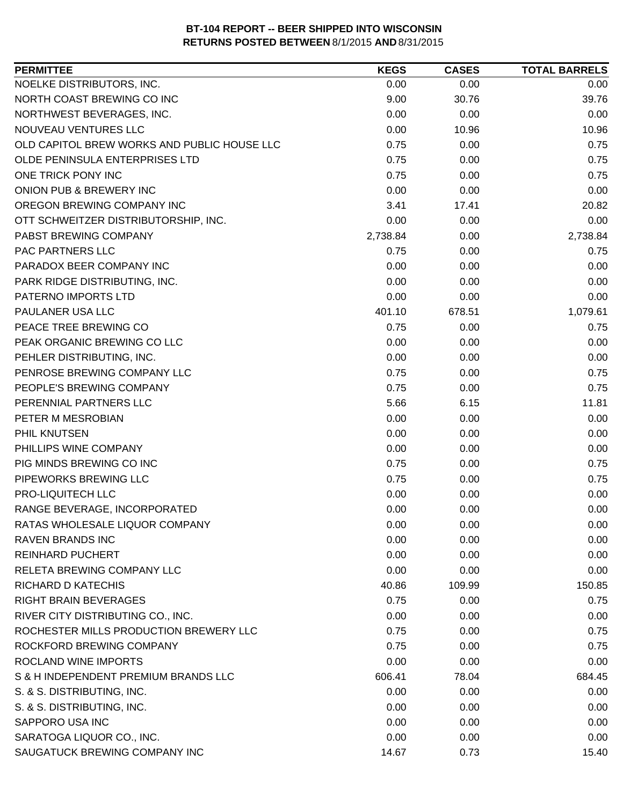| <b>PERMITTEE</b>                            | <b>KEGS</b> | <b>CASES</b> | <b>TOTAL BARRELS</b> |
|---------------------------------------------|-------------|--------------|----------------------|
| NOELKE DISTRIBUTORS, INC.                   | 0.00        | 0.00         | 0.00                 |
| NORTH COAST BREWING CO INC                  | 9.00        | 30.76        | 39.76                |
| NORTHWEST BEVERAGES, INC.                   | 0.00        | 0.00         | 0.00                 |
| NOUVEAU VENTURES LLC                        | 0.00        | 10.96        | 10.96                |
| OLD CAPITOL BREW WORKS AND PUBLIC HOUSE LLC | 0.75        | 0.00         | 0.75                 |
| OLDE PENINSULA ENTERPRISES LTD              | 0.75        | 0.00         | 0.75                 |
| ONE TRICK PONY INC                          | 0.75        | 0.00         | 0.75                 |
| ONION PUB & BREWERY INC                     | 0.00        | 0.00         | 0.00                 |
| OREGON BREWING COMPANY INC                  | 3.41        | 17.41        | 20.82                |
| OTT SCHWEITZER DISTRIBUTORSHIP, INC.        | 0.00        | 0.00         | 0.00                 |
| PABST BREWING COMPANY                       | 2,738.84    | 0.00         | 2,738.84             |
| PAC PARTNERS LLC                            | 0.75        | 0.00         | 0.75                 |
| PARADOX BEER COMPANY INC                    | 0.00        | 0.00         | 0.00                 |
| PARK RIDGE DISTRIBUTING, INC.               | 0.00        | 0.00         | 0.00                 |
| PATERNO IMPORTS LTD                         | 0.00        | 0.00         | 0.00                 |
| PAULANER USA LLC                            | 401.10      | 678.51       | 1,079.61             |
| PEACE TREE BREWING CO                       | 0.75        | 0.00         | 0.75                 |
| PEAK ORGANIC BREWING CO LLC                 | 0.00        | 0.00         | 0.00                 |
| PEHLER DISTRIBUTING, INC.                   | 0.00        | 0.00         | 0.00                 |
| PENROSE BREWING COMPANY LLC                 | 0.75        | 0.00         | 0.75                 |
| PEOPLE'S BREWING COMPANY                    | 0.75        | 0.00         | 0.75                 |
| PERENNIAL PARTNERS LLC                      | 5.66        | 6.15         | 11.81                |
| PETER M MESROBIAN                           | 0.00        | 0.00         | 0.00                 |
| PHIL KNUTSEN                                | 0.00        | 0.00         | 0.00                 |
| PHILLIPS WINE COMPANY                       | 0.00        | 0.00         | 0.00                 |
| PIG MINDS BREWING CO INC                    | 0.75        | 0.00         | 0.75                 |
| PIPEWORKS BREWING LLC                       | 0.75        | 0.00         | 0.75                 |
| PRO-LIQUITECH LLC                           | 0.00        | 0.00         | 0.00                 |
| RANGE BEVERAGE, INCORPORATED                | 0.00        | 0.00         | 0.00                 |
| RATAS WHOLESALE LIQUOR COMPANY              | 0.00        | 0.00         | 0.00                 |
| <b>RAVEN BRANDS INC</b>                     | 0.00        | 0.00         | 0.00                 |
| <b>REINHARD PUCHERT</b>                     | 0.00        | 0.00         | 0.00                 |
| RELETA BREWING COMPANY LLC                  | 0.00        | 0.00         | 0.00                 |
| RICHARD D KATECHIS                          | 40.86       | 109.99       | 150.85               |
| <b>RIGHT BRAIN BEVERAGES</b>                | 0.75        | 0.00         | 0.75                 |
| RIVER CITY DISTRIBUTING CO., INC.           | 0.00        | 0.00         | 0.00                 |
| ROCHESTER MILLS PRODUCTION BREWERY LLC      | 0.75        | 0.00         | 0.75                 |
| ROCKFORD BREWING COMPANY                    | 0.75        | 0.00         | 0.75                 |
| ROCLAND WINE IMPORTS                        | 0.00        | 0.00         | 0.00                 |
| S & H INDEPENDENT PREMIUM BRANDS LLC        | 606.41      | 78.04        | 684.45               |
| S. & S. DISTRIBUTING, INC.                  | 0.00        | 0.00         | 0.00                 |
| S. & S. DISTRIBUTING, INC.                  | 0.00        | 0.00         | 0.00                 |
| SAPPORO USA INC                             | 0.00        | 0.00         | 0.00                 |
| SARATOGA LIQUOR CO., INC.                   | 0.00        | 0.00         | 0.00                 |
| SAUGATUCK BREWING COMPANY INC               | 14.67       | 0.73         | 15.40                |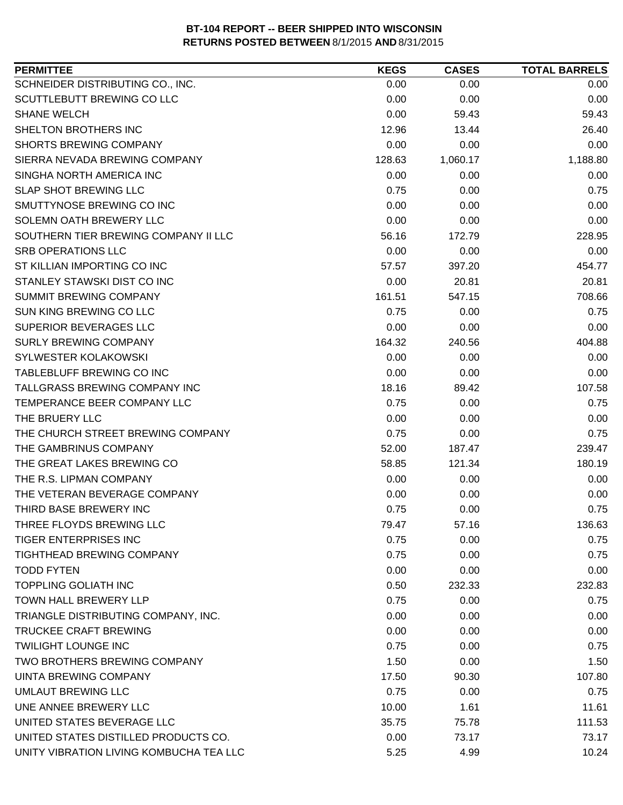| <b>PERMITTEE</b>                        | <b>KEGS</b> | <b>CASES</b> | <b>TOTAL BARRELS</b> |
|-----------------------------------------|-------------|--------------|----------------------|
| SCHNEIDER DISTRIBUTING CO., INC.        | 0.00        | 0.00         | 0.00                 |
| SCUTTLEBUTT BREWING CO LLC              | 0.00        | 0.00         | 0.00                 |
| <b>SHANE WELCH</b>                      | 0.00        | 59.43        | 59.43                |
| SHELTON BROTHERS INC                    | 12.96       | 13.44        | 26.40                |
| <b>SHORTS BREWING COMPANY</b>           | 0.00        | 0.00         | 0.00                 |
| SIERRA NEVADA BREWING COMPANY           | 128.63      | 1,060.17     | 1,188.80             |
| SINGHA NORTH AMERICA INC                | 0.00        | 0.00         | 0.00                 |
| <b>SLAP SHOT BREWING LLC</b>            | 0.75        | 0.00         | 0.75                 |
| SMUTTYNOSE BREWING CO INC               | 0.00        | 0.00         | 0.00                 |
| SOLEMN OATH BREWERY LLC                 | 0.00        | 0.00         | 0.00                 |
| SOUTHERN TIER BREWING COMPANY II LLC    | 56.16       | 172.79       | 228.95               |
| <b>SRB OPERATIONS LLC</b>               | 0.00        | 0.00         | 0.00                 |
| ST KILLIAN IMPORTING CO INC             | 57.57       | 397.20       | 454.77               |
| STANLEY STAWSKI DIST CO INC             | 0.00        | 20.81        | 20.81                |
| <b>SUMMIT BREWING COMPANY</b>           | 161.51      | 547.15       | 708.66               |
| SUN KING BREWING CO LLC                 | 0.75        | 0.00         | 0.75                 |
| SUPERIOR BEVERAGES LLC                  | 0.00        | 0.00         | 0.00                 |
| <b>SURLY BREWING COMPANY</b>            | 164.32      | 240.56       | 404.88               |
| SYLWESTER KOLAKOWSKI                    | 0.00        | 0.00         | 0.00                 |
| TABLEBLUFF BREWING CO INC               | 0.00        | 0.00         | 0.00                 |
| TALLGRASS BREWING COMPANY INC           | 18.16       | 89.42        | 107.58               |
| TEMPERANCE BEER COMPANY LLC             | 0.75        | 0.00         | 0.75                 |
| THE BRUERY LLC                          | 0.00        | 0.00         | 0.00                 |
| THE CHURCH STREET BREWING COMPANY       | 0.75        | 0.00         | 0.75                 |
| THE GAMBRINUS COMPANY                   | 52.00       | 187.47       | 239.47               |
| THE GREAT LAKES BREWING CO              | 58.85       | 121.34       | 180.19               |
| THE R.S. LIPMAN COMPANY                 | 0.00        | 0.00         | 0.00                 |
| THE VETERAN BEVERAGE COMPANY            | 0.00        | 0.00         | 0.00                 |
| THIRD BASE BREWERY INC                  | 0.75        | 0.00         | 0.75                 |
| THREE FLOYDS BREWING LLC                | 79.47       | 57.16        | 136.63               |
| <b>TIGER ENTERPRISES INC</b>            | 0.75        | 0.00         | 0.75                 |
| <b>TIGHTHEAD BREWING COMPANY</b>        | 0.75        | 0.00         | 0.75                 |
| <b>TODD FYTEN</b>                       | 0.00        | 0.00         | 0.00                 |
| <b>TOPPLING GOLIATH INC</b>             | 0.50        | 232.33       | 232.83               |
| <b>TOWN HALL BREWERY LLP</b>            | 0.75        | 0.00         | 0.75                 |
| TRIANGLE DISTRIBUTING COMPANY, INC.     | 0.00        | 0.00         | 0.00                 |
| TRUCKEE CRAFT BREWING                   | 0.00        | 0.00         | 0.00                 |
| <b>TWILIGHT LOUNGE INC</b>              | 0.75        | 0.00         | 0.75                 |
| TWO BROTHERS BREWING COMPANY            | 1.50        | 0.00         | 1.50                 |
| <b>UINTA BREWING COMPANY</b>            | 17.50       | 90.30        | 107.80               |
| UMLAUT BREWING LLC                      | 0.75        | 0.00         | 0.75                 |
| UNE ANNEE BREWERY LLC                   | 10.00       | 1.61         | 11.61                |
| UNITED STATES BEVERAGE LLC              | 35.75       | 75.78        | 111.53               |
| UNITED STATES DISTILLED PRODUCTS CO.    | 0.00        | 73.17        | 73.17                |
| UNITY VIBRATION LIVING KOMBUCHA TEA LLC | 5.25        | 4.99         | 10.24                |